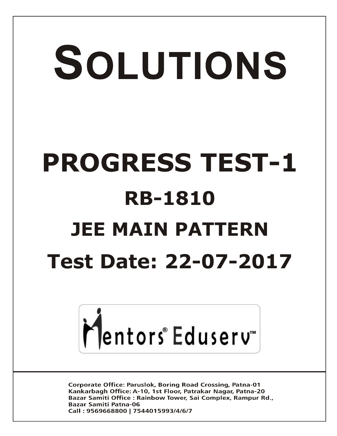# SOLUTIONS **PROGRESS TEST-1 RB-1810 JEE MAIN PATTERN Test Date: 22-07-2017**



**Corporate Office: Paruslok, Boring Road Crossing, Patna-01** Kankarbagh Office: A-10, 1st Floor, Patrakar Nagar, Patna-20 Bazar Samiti Office: Rainbow Tower, Sai Complex, Rampur Rd., **Bazar Samiti Patna-06** Call: 9569668800 | 7544015993/4/6/7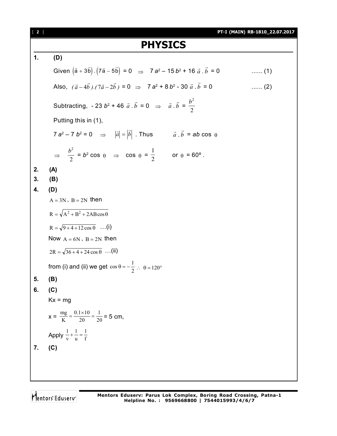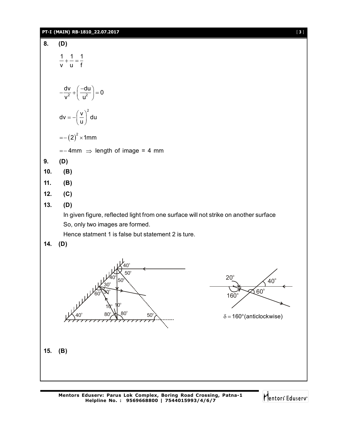### **PT-I (MAIN) RB-1810\_22.07.2017** [ **3** ]

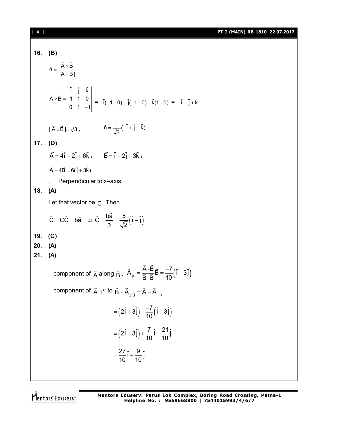### [ **4** ] **PT-I (MAIN) RB-1810\_22.07.2017**

### **16. (B)**  $\hat{n} = \frac{A \times B}{\sqrt{A^2 - A^2}}$  $|A \times B|$  $=\frac{A \times}{A}$  $\times$  $\frac{1}{2}$   $\frac{1}{2}$  $\frac{1}{2}$ ˆ ˆ ˆ i j k  $A \times B = | 1 \ 1 \ 0$ 0 1  $-1$  $\times$ B =  $\vert$  $\overline{a}$  $\rightarrow$   $\rightarrow$  $= \hat{i}(-1-0) - \hat{j}(-1-0) + \hat{k}(1-0) = -\hat{i} + \hat{j} + \hat{k}$  $|A \times B| = \sqrt{3}$  $\vec{A} \times \vec{B} \mid = \sqrt{3}$ ,  $\hat{n} = \frac{1}{\sqrt{2}} (\hat{-1} + \hat{j} + \hat{k})$ 3  $=\frac{1}{\sqrt{2}}(-1+i+1)$ **17. (D)** = 4i – 2j + (  $\vec{A} = 4\hat{i} - 2\hat{j} + 6\hat{k}$ ,  $\vec{B} = \hat{i} - 2\hat{j} - 3\hat{k}$ ,  $\vec{A} - 4\vec{B} = 6(\hat{j} + 3\hat{k})$  $\therefore$  Perpendicular to x–axis **18. (A)** Let that vector be  $\,\vec{\text{C}}$  $\rightarrow$ . Then  $\vec{C} = \vec{CC} = \vec{ba}$   $\Rightarrow \vec{C} = \frac{b\vec{a}}{2} = \frac{5}{\sqrt{2}}(\hat{i} - \hat{j})$ a  $\sqrt{2}$  $= CC = b\hat{a} \Rightarrow C = \frac{bc}{\sqrt{a}} = \frac{c}{\sqrt{a}}(1 - \hat{a})$  $\rightarrow$   $\rightarrow$   $h\vec{a}$ **19. (C) 20. (A) 21. (A)** component of  $\vec{A}$  along  $\vec{B}$  ,  $\vec{A}_{\parallel \vec{B}} = \frac{A \cdot B}{\vec{B} \cdot \vec{B}} \vec{B} = \frac{-7}{10} (\hat{i} - 3\hat{j})$  $\overline{B} \cdot \overline{B}$  10  $=\frac{A \cdot B}{\frac{1}{2} \cdot \frac{1}{2}} \vec{B} = \frac{-7}{12} (\hat{i} - \hat{i})$  $\overrightarrow{B} = \frac{\overrightarrow{B}}{\overrightarrow{B}}$ .  $\vec{A} \cdot \vec{B}$  $\frac{1}{2}$  = E component of  $\vec{A} \perp^r$  to  $\vec{B}$  ,  $\vec{A}_{\perp^r \vec{B}} = \vec{A} - \vec{A}_{\parallel \vec{B}}$  $\rightarrow$   $\rightarrow$   $\rightarrow$  $(2\hat{i} + 3\hat{j}) - \frac{-7}{10}(\hat{i} - 3\hat{j})$ 10  $=(2\hat{i}+3\hat{j})-\frac{-7}{12}(\hat{i}-3\hat{j})$  $(2\hat{i} + 3\hat{j}) + \frac{7}{10}\hat{i} - \frac{21}{10}\hat{j}$ 10 10  $=(2i+3j)+\frac{i}{2i}i-3j$  $\frac{27}{10}$ i +  $\frac{9}{10}$ j  $10 - 10$  $=\frac{24}{10}i + \frac{1}{10}$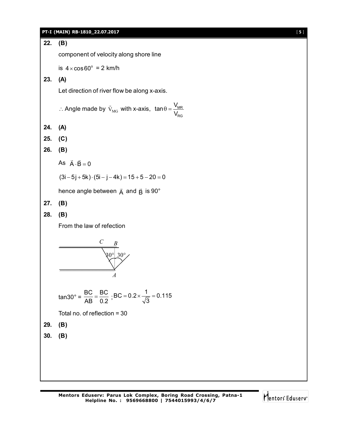# **PT-I (MAIN) RB-1810\_22.07.2017** [ **5** ] **22. (B)** component of velocity along shore line is  $4 \times \cos 60^\circ = 2$  km/h **23. (A)** Let direction of river flow be along x-axis. : Angle made by  $\vec{v}_{MG}$  with x-axis,  $\tan\theta = \frac{V_{MR}}{V}$ RG  $\tan \theta = \frac{V_1}{V_2}$ V  $\theta = \frac{1}{2}$ **24. (A) 25. (C) 26. (B)** As  $\vec{A} \cdot \vec{B} = 0$  $(3i - 5j + 5k) \cdot (5i - j - 4k) = 15 + 5 - 20 = 0$ hence angle between  $\vec{\mathsf{A}}$  and  $\vec{\mathsf{B}}$  is 90 $^\circ$ **27. (B) 28. (B)** From the law of refection *C B* 30° 30° *A* tan30° = BC BC  $\frac{16}{AB} = \frac{16}{0.2}$ ;  $BC = 0.2 \times \frac{1}{\sqrt{2}} = 0.115$ 3  $= 0.2 \times \frac{1}{\sqrt{2}} = 0$ Total no. of reflection = 30 **29. (B) 30. (B)**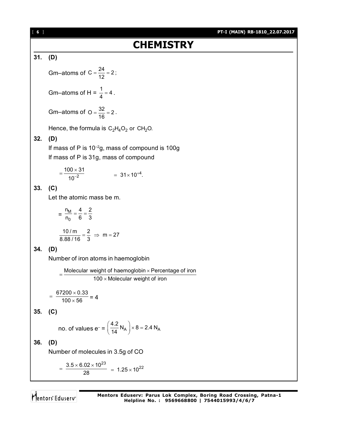## **31. (D)**

Gm–atoms of C =  $\frac{24}{12}$  = 2; Gm–atoms of H =  $\frac{1}{4}$  = 4. Gm–atoms of O =  $\frac{32}{16}$  = 2. Hence, the formula is  $C_2H_4O_2$  or CH<sub>2</sub>O. **32. (D)** If mass of P is  $10^{-2}$ g, mass of compound is 100g If mass of P is 31g, mass of compound 2  $100 \times 31$  $10^{-}$  $\times$  $=\frac{188 \times 64}{10^{-2}}$  = 31×10<sup>+4</sup>. **33. (C)** Let the atomic mass be m.  $=\frac{m}{n}$ 0  $n_{\rm M}$  4 2  $\frac{m}{n_0} = \frac{1}{6} = \frac{2}{3}$  $\frac{10}{ \text{ m}} = \frac{2}{3} \Rightarrow \text{ m} = 27$ **34. (D)** Number of iron atoms in haemoglobin = Molecular weight of haemoglobin × Percentage of iron<br>= =  $100 \times$  Molecular weight of iron 67200  $\times$  0.33  $100 \times 56$  $=\frac{67200\times0.33}{100\times56}=4$ **35. (C)** no. of values e<sup>-</sup> =  $\left(\frac{4.2}{14} N_A\right)$  × 8 = 2.4 N<sub>A</sub>  $\left(\frac{4.2}{14}N_A\right)\times 8=2$ **36. (D)** Number of molecules in 3.5g of CO  $3.5 \times 6.02 \times 10^{23}$ 28  $=\frac{3.5\times 6.02\times 10^{23}}{28}$  = 1.25 \times 10<sup>22</sup>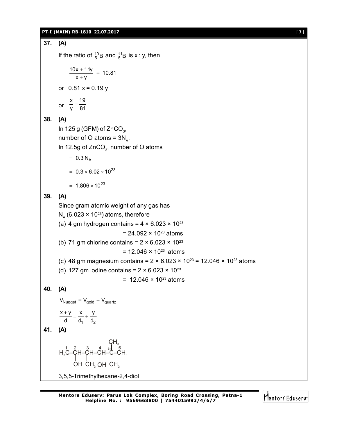### **PT-I (MAIN) RB-1810\_22.07.2017** [ **7** ]

```
37. (A)
       If the ratio of ^{10}_{5}B and ^{11}_{5}B is x : y, then
             \frac{10x + 11y}{x + y} = 10.81\frac{+11y}{+y} =or 0.81 x = 0.19 yor
             x 19
             \frac{x}{y} = \frac{18}{81}38. (A)
       In 125 g (GFM) of ZnCO_3,
       number of O atoms = 3N<sub>A</sub>.
       In 12.5g of ZnCO_{_3}, number of O atoms
            = 0.3 N_A= 0.3 \times 6.02 \times 10^{23}= 1.806 \times 10^{23}39. (A)
       Since gram atomic weight of any gas has
       N<sub>A</sub> (6.023 × 10^{23}) atoms, therefore
       (a) 4 gm hydrogen contains = 4 \times 6.023 \times 10^{23}= 24.092 \times 10^{23} atoms
       (b) 71 gm chlorine contains = 2 \times 6.023 \times 10^{23}= 12.046 \times 10^{23} atoms
       (c) 48 gm magnesium contains = 2 \times 6.023 \times 10^{23} = 12.046 \times 10^{23} atoms
       (d) 127 gm iodine contains = 2 \times 6.023 \times 10^{23}= 12.046 \times 10^{23} atoms
40. (A)
       V_{Nugget} = V_{gold} + V_{quartz}1 <sup>u</sup>2
        x + y x y
          d d<sub>1</sub> d<sub>2</sub>
          \frac{+y}{+} = \frac{x}{+} +41. (A)
        H C–CH–CH–CH–C–CH 3 3
1 2 3 4 5
                                \mathsf{CH}_3OH CH_3 OH CH_36
       3,5,5-Trimethylhexane-2,4-diol
```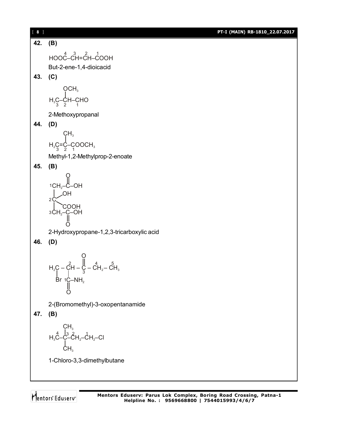[ **8** ] **PT-I (MAIN) RB-1810\_22.07.2017 42. (B)**  $HOOC^4$ – $CH$ = $CH$ – $COOH$ But-2-ene-1,4-dioicacid **43. (C)**  $H_3C$ –CH–CHO<br> $\frac{3}{3}$  2  $OCH<sub>3</sub>$ 2-Methoxypropanal **44. (D)**  $H_2G = \dot{C} - \dot{C}$ OOCH<sub>3</sub>  $CH<sub>3</sub>$ Methyl-1,2-Methylprop-2-enoate **45. (B)** CH –C–OH <sup>2</sup> O 1<sub>CH</sub>  $2C$ OH COOH з $\mathsf{CH_2\!\!-\!\!C\!\!-\!\!OH}$ O 2-Hydroxypropane-1,2,3-tricarboxylic acid **46. (D)**  ${\sf H_2C}$  – CH –  $\zeta$  – CH $_2$ – CH $_3$ O 2  $\begin{array}{ccc} 1 & 4 & 5 \end{array}$ 3  $Br$  1C–NH $_2$ O 2-(Bromomethyl)-3-oxopentanamide **47. (B)**  ${\sf H}_3$ C–C–C ${\sf H}_2$ –C ${\sf H}_2$ –Cl  $\mathsf{CH}_3$  $4 \times 3 \times 1 \times 1$  $CH<sub>3</sub>$ 1-Chloro-3,3-dimethylbutane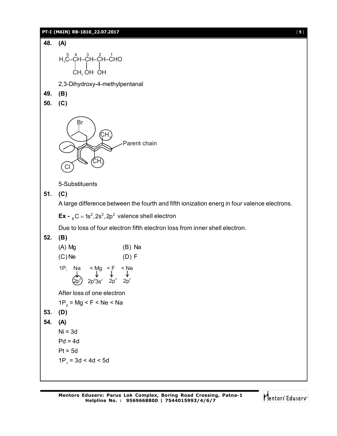### **PT-I (MAIN) RB-1810\_22.07.2017** [ **9** ]

```
48. (A)
       н <sub>з</sub>С-Сн-Сн-Сно
             CH3 OH OH
      2,3-Dihydroxy-4-methylpentanal
49. (B)
50. (C)
               Br
                          \mathsf{CH}_3\mathsf{CH}_3^3Cl
                                   Parent chain
      5-Substituents
51. (C)
      A large difference between the fourth and fifth ionization energ in four valence electrons.
       \mathbf{Ex} - _{6}C = 1s<sup>2</sup>,2s<sup>2</sup>,2p<sup>2</sup> valence shell electron
      Due to loss of four electron fifth electron loss from inner shell electron.
52. (B)
      (A) Mg (B) Na
      (C) Ne (D) F
      1P, Na \lt Mg \lt F \lt Ne<br>
\downarrow \qquad \downarrow \qquad \downarrow \qquad \downarrow\mathsf{S}^\mathsf{p}2p^63s^2 2p^4 2p^5After loss of one electron
       1P<sub>2</sub> = Mg < F < Ne < Na
53. (D)
54. (A)
      Ni = 3dPd = 4dPt = 5d1P_1 = 3d < 4d < 5d
```
Mentors Eduserv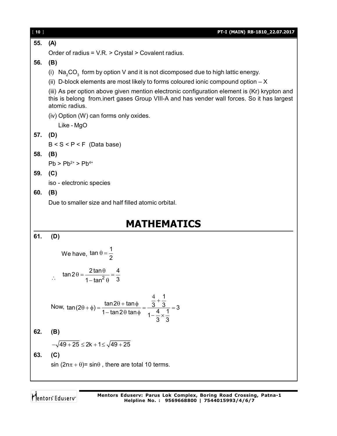| [10]               | PT-I (MAIN) RB-1810_22.07.2017                                                                                                                                                                               |  |
|--------------------|--------------------------------------------------------------------------------------------------------------------------------------------------------------------------------------------------------------|--|
| 55.                | (A)                                                                                                                                                                                                          |  |
|                    | Order of radius = V.R. > Crystal > Covalent radius.                                                                                                                                                          |  |
| 56.                | (B)                                                                                                                                                                                                          |  |
|                    | (i) $Na2CO3$ form by option V and it is not dicomposed due to high lattic energy.                                                                                                                            |  |
|                    | (ii) D-block elements are most likely to forms coloured ionic compound option $-X$                                                                                                                           |  |
|                    | (iii) As per option above given mention electronic configuration element is (Kr) krypton and<br>this is belong from inert gases Group VIII-A and has vender wall forces. So it has largest<br>atomic radius. |  |
|                    | (iv) Option (W) can forms only oxides.<br>Like - MgO                                                                                                                                                         |  |
| 57.                | (D)                                                                                                                                                                                                          |  |
|                    | $B < S < P < F$ (Data base)                                                                                                                                                                                  |  |
| 58.                | (B)                                                                                                                                                                                                          |  |
|                    | $Pb > Pb^{2+} > Pb^{4+}$                                                                                                                                                                                     |  |
| 59.                | (C)                                                                                                                                                                                                          |  |
|                    | iso - electronic species                                                                                                                                                                                     |  |
| 60.                | (B)                                                                                                                                                                                                          |  |
|                    | Due to smaller size and half filled atomic orbital.                                                                                                                                                          |  |
|                    |                                                                                                                                                                                                              |  |
| <b>MATHEMATICS</b> |                                                                                                                                                                                                              |  |
| 61.                | (D)                                                                                                                                                                                                          |  |
|                    | We have, $\tan \theta = \frac{1}{2}$                                                                                                                                                                         |  |
|                    | $\tan 2\theta = \frac{2\tan\theta}{1-\tan^2\theta} = \frac{4}{3}$                                                                                                                                            |  |
|                    | Now, $\tan(2\theta + \phi) = \frac{\tan 2\theta + \tan \phi}{1 - \tan 2\theta \tan \phi} = \frac{\frac{4}{3} + \frac{1}{3}}{1 - \frac{4}{3} \times \frac{1}{2}} = 3$                                         |  |
| 62.                | (B)                                                                                                                                                                                                          |  |
|                    | $-\sqrt{49+25} \leq 2k + 1 \leq \sqrt{49+25}$                                                                                                                                                                |  |
| 63.                | (C)                                                                                                                                                                                                          |  |
|                    | $sin(2n\pi + \theta)$ = sin $\theta$ , there are total 10 terms.                                                                                                                                             |  |
|                    |                                                                                                                                                                                                              |  |
|                    |                                                                                                                                                                                                              |  |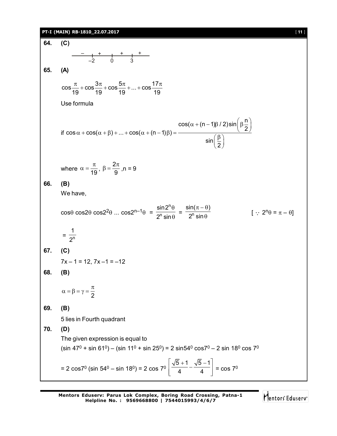### **PT-I (MAIN) RB-1810\_22.07.2017** [ **11** ]

**64. (C)**  $-$  +  $+$  +  $+$  +  $+$ –2 0 3 **65. (A)**  $\cos \frac{\pi}{12} + \cos \frac{3\pi}{12} + \cos \frac{5\pi}{12} + ... + \cos \frac{17\pi}{12}$ 19 19 19 19  $\frac{\pi}{10}$  + cos  $\frac{3\pi}{10}$  + cos  $\frac{5\pi}{10}$  + ... + cos  $\frac{17\pi}{10}$ Use formula if  $\cos\alpha + \cos(\alpha + \beta) + ... + \cos(\alpha + (n-1)\beta)$  :  $\cos(\alpha + (n-1)\beta / 2)\sin\left(\beta \frac{n}{2}\right)$ 2 sin  $\left(\frac{1}{2}\right)$  $\alpha + \cos(\alpha + \beta) + ... + \cos(\alpha + (n-1)\beta) = \frac{\cos(\alpha + (n-1)\beta / 2)\sin(\beta + 1)}{\sin(\beta)}$ where  $\alpha = \frac{n}{19}$  $\alpha = \frac{\pi}{40}$ ,  $\beta = \frac{2}{6}$ 9  $\beta = \frac{2\pi}{\Omega}$ , n = 9 **66. (B)** We have,  $\cos\theta \cos2\theta \cos2^2\theta$  ...  $\cos2^{n-1}\theta$  = n n sin2  $2^n$  sin  $\theta$  $\frac{1}{\theta}$  =  $\frac{1}{2^n}$  $\mathsf{sin}(\pi-\theta)$ 2<sup>n</sup> sin  $\pi - \theta$ )  $\theta$  $[\cdot; 2^n \theta = \pi - \theta]$  $=\frac{1}{2^n}$ 1 2 **67. (C)**  $7x - 1 = 12$ ,  $7x - 1 = -12$ **68. (B)** 2  $\alpha = \beta = \gamma = \frac{\pi}{2}$ **69. (B)** 5 lies in Fourth quadrant **70. (D)** The given expression is equal to (sin 47 $^0$  + sin 61 $^0$ ) – (sin 11 $^0$  + sin 25 $^0$ ) = 2 sin54 $^0$  cos7 $^0$  – 2 sin 18 $^0$  cos 7 $^0$ = 2 cos7 $^{\rm 0}$  (sin 54 $^{\rm 0}$  – sin 18 $^{\rm 0})$  = 2 cos 7 $^{\rm 0}$  $5 + 1 \sqrt{5} - 1$  $\left| \frac{\sqrt{5}+1}{4} - \frac{\sqrt{5}-1}{4} \right|$  $\left[\frac{1}{4} - \frac{1}{4}\right] = \cos 7^\circ$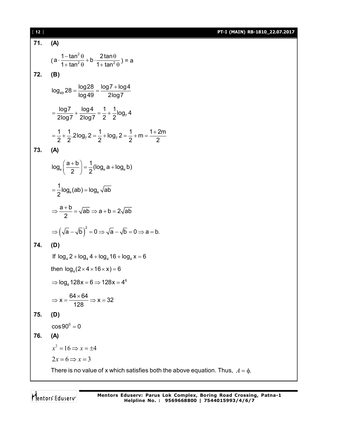[ **12** ] **PT-I (MAIN) RB-1810\_22.07.2017**

71. **(A)**  
\n
$$
(a \cdot \frac{1-\tan^2 \theta}{1+\tan^2 \theta} + b \cdot \frac{2\tan \theta}{1+\tan^2 \theta}) = a
$$
\n72. **(B)**  
\n
$$
\log_{49} 28 = \frac{\log 28}{\log 49} = \frac{\log 7 + \log 4}{2\log 7}
$$
\n
$$
= \frac{\log 7}{2\log 7} + \frac{\log 4}{2\log 7} = \frac{1}{2} + \frac{1}{2}\log_7 4
$$
\n
$$
= \frac{1}{2} + \frac{1}{2}.2\log_7 2 = \frac{1}{2} + \log_7 2 = \frac{1}{2} + m = \frac{1+2m}{2}
$$
\n73. **(A)**  
\n
$$
\log_a \left(\frac{a+b}{2}\right) = \frac{1}{2}(\log_a a + \log_a b)
$$
\n
$$
= \frac{1}{2}\log_a (ab) = \log_a \sqrt{ab}
$$
\n
$$
\Rightarrow \frac{a+b}{2} = \sqrt{ab} \Rightarrow a+b=2\sqrt{ab}
$$
\n
$$
\Rightarrow \left(\sqrt{a} - \sqrt{b}\right)^2 = 0 \Rightarrow \sqrt{a} - \sqrt{b} = 0 \Rightarrow a = b.
$$
\n74. **(D)**  
\nIf  $\log_a 2 + \log_a 4 + \log_a 16 + \log_a x = 6$   
\nthen  $\log_a (2 \times 4 \times 16 \times x) = 6$   
\n
$$
\Rightarrow \log_a 128x = 6 \Rightarrow 128x = 4^6
$$
\n
$$
\Rightarrow x = \frac{64 \times 64}{128} \Rightarrow x = 32
$$
\n75. **(D)**  
\n
$$
\cos 90^\circ = 0
$$
\n76. **(A)**  
\n
$$
x^2 = 16 \Rightarrow x = \pm 4
$$
\n
$$
2x = 6 \Rightarrow x = 3
$$
\nThere is no value of x which satisfies both the above equation. Thus,  $A = \phi$ .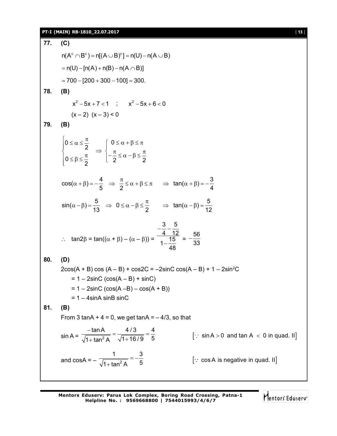# **PT-I (MAIN) RB-1810\_22.07.2017** [ **13** ]

| 77. | (C)                                                                                                                                                                                                                   |                                                |  |
|-----|-----------------------------------------------------------------------------------------------------------------------------------------------------------------------------------------------------------------------|------------------------------------------------|--|
|     | $n(A^c \cap B^c) = n[(A \cup B)^c] = n(U) - n(A \cup B)$                                                                                                                                                              |                                                |  |
|     | $= n(U) - [n(A) + n(B) - n(A \cap B)]$                                                                                                                                                                                |                                                |  |
|     | $= 700 - [200 + 300 - 100] = 300.$                                                                                                                                                                                    |                                                |  |
| 78. | (B)                                                                                                                                                                                                                   |                                                |  |
|     | $x^2-5x+7<1$ ; $x^2-5x+6<0$                                                                                                                                                                                           |                                                |  |
|     | $(x-2)$ $(x-3) < 0$                                                                                                                                                                                                   |                                                |  |
| 79. | (B)                                                                                                                                                                                                                   |                                                |  |
|     | $\begin{cases} 0 \le \alpha \le \frac{\pi}{2} \\ 0 \le \beta \le \frac{\pi}{2} \end{cases} \Rightarrow \begin{cases} 0 \le \alpha + \beta \le \pi \\ -\frac{\pi}{2} \le \alpha - \beta \le \frac{\pi}{2} \end{cases}$ |                                                |  |
|     |                                                                                                                                                                                                                       |                                                |  |
|     | $cos(\alpha + \beta) = -\frac{4}{5}$ $\Rightarrow \frac{\pi}{2} \le \alpha + \beta \le \pi$ $\Rightarrow tan(\alpha + \beta) = -\frac{3}{4}$                                                                          |                                                |  |
|     | $\sin(\alpha-\beta) = \frac{5}{13}$ $\Rightarrow 0 \le \alpha-\beta \le \frac{\pi}{2}$ $\Rightarrow \tan(\alpha-\beta) = \frac{5}{12}$                                                                                |                                                |  |
|     | ∴ $\tan 2\beta = \tan((\alpha + \beta) - (\alpha - \beta)) = \frac{-\frac{3}{4} - \frac{3}{12}}{1 - \frac{15}{12}} = -\frac{56}{33}$                                                                                  |                                                |  |
| 80. | (D)                                                                                                                                                                                                                   |                                                |  |
|     | $2\cos(A + B) \cos(A - B) + \cos(2C) = -2\sin(C) \cos(A - B) + 1 - 2\sin^2(C)$                                                                                                                                        |                                                |  |
|     | $= 1 - 2\sin C$ (cos(A – B) + sinC)                                                                                                                                                                                   |                                                |  |
|     | $= 1 - 2\sin C$ (cos(A -B) – cos(A + B))<br>$= 1 - 4 \sin A \sin B \sin C$                                                                                                                                            |                                                |  |
| 81. | (B)                                                                                                                                                                                                                   |                                                |  |
|     | From 3 tanA + $4 = 0$ , we get tanA = $-4/3$ , so that                                                                                                                                                                |                                                |  |
|     | $\sin A = \frac{-\tan A}{\sqrt{1 + \tan^2 A}} = \frac{4/3}{\sqrt{1 + 16/9}} = \frac{4}{5}$                                                                                                                            | $[\cdot]$ sin A > 0 and tan A < 0 in quad. II] |  |
|     | and $\cos A = -\frac{1}{\sqrt{1 + \tan^2 A}} = -\frac{3}{5}$                                                                                                                                                          | [: cosA is negative in quad. II]               |  |
|     |                                                                                                                                                                                                                       |                                                |  |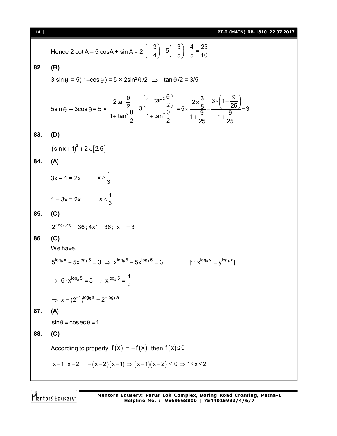| $[14]$ | PT-I (MAIN) RB-1810_22.07.2017                                                                                                                                                                                                                                                                              |  |  |
|--------|-------------------------------------------------------------------------------------------------------------------------------------------------------------------------------------------------------------------------------------------------------------------------------------------------------------|--|--|
|        | Hence 2 cot A – 5 cosA + sin A = $2\left(-\frac{3}{4}\right)-5\left(-\frac{3}{5}\right)+\frac{4}{5}=\frac{23}{10}$                                                                                                                                                                                          |  |  |
| 82.    | (B)                                                                                                                                                                                                                                                                                                         |  |  |
|        | $3 \sin \theta = 5(1-\cos \theta) = 5 \times 2\sin^2 \theta/2 \implies \tan \theta/2 = 3/5$                                                                                                                                                                                                                 |  |  |
|        |                                                                                                                                                                                                                                                                                                             |  |  |
|        | $5\sin\theta - 3\cos\theta = 5 \times \frac{2\tan\frac{\theta}{2}}{1+\tan^2\frac{\theta}{2}} - 3\frac{\left(1-\tan^2\frac{\theta}{2}\right)}{1+\tan^2\frac{\theta}{2}} = 5 \times \frac{2\times\frac{3}{5}}{1+\frac{\theta}{25}} - \frac{3\times\left(1-\frac{\theta}{25}\right)}{1+\frac{\theta}{25}} = 3$ |  |  |
| 83.    | (D)                                                                                                                                                                                                                                                                                                         |  |  |
|        | $(\sin x + 1)^2 + 2 \in [2,6]$                                                                                                                                                                                                                                                                              |  |  |
| 84.    | (A)                                                                                                                                                                                                                                                                                                         |  |  |
|        |                                                                                                                                                                                                                                                                                                             |  |  |
|        | $3x - 1 = 2x$ ; $x \ge \frac{1}{3}$                                                                                                                                                                                                                                                                         |  |  |
|        | $1 - 3x = 2x$ ; $x < \frac{1}{3}$                                                                                                                                                                                                                                                                           |  |  |
| 85.    | (C)                                                                                                                                                                                                                                                                                                         |  |  |
|        | $2^{2 \log_2(2x)} = 36$ ; $4x^2 = 36$ ; $x = \pm 3$                                                                                                                                                                                                                                                         |  |  |
| 86.    | (C)                                                                                                                                                                                                                                                                                                         |  |  |
|        | We have,                                                                                                                                                                                                                                                                                                    |  |  |
|        | $5^{\log_{a} x} + 5x^{\log_{a} 5} = 3 \implies x^{\log_{a} 5} + 5x^{\log_{a} 5} = 3$<br>$\left[\because x^{\log_a y} = y^{\log_a x}\right]$                                                                                                                                                                 |  |  |
|        | $\Rightarrow 6 \cdot x^{\log_a 5} = 3 \Rightarrow x^{\log_a 5} = \frac{1}{2}$                                                                                                                                                                                                                               |  |  |
|        | $\Rightarrow$ $x = (2^{-1})^{\log_5 a} = 2^{-\log_5 a}$                                                                                                                                                                                                                                                     |  |  |
| 87.    | (A)                                                                                                                                                                                                                                                                                                         |  |  |
|        | $\sin \theta = \cos \sec \theta = 1$                                                                                                                                                                                                                                                                        |  |  |
| 88.    | (C)                                                                                                                                                                                                                                                                                                         |  |  |
|        | According to property $ f(x)  = -f(x)$ , then $f(x) \le 0$                                                                                                                                                                                                                                                  |  |  |
|        | $ x-1   x-2  = -(x-2)(x-1) \Rightarrow (x-1)(x-2) \le 0 \Rightarrow 1 \le x \le 2$                                                                                                                                                                                                                          |  |  |
|        |                                                                                                                                                                                                                                                                                                             |  |  |